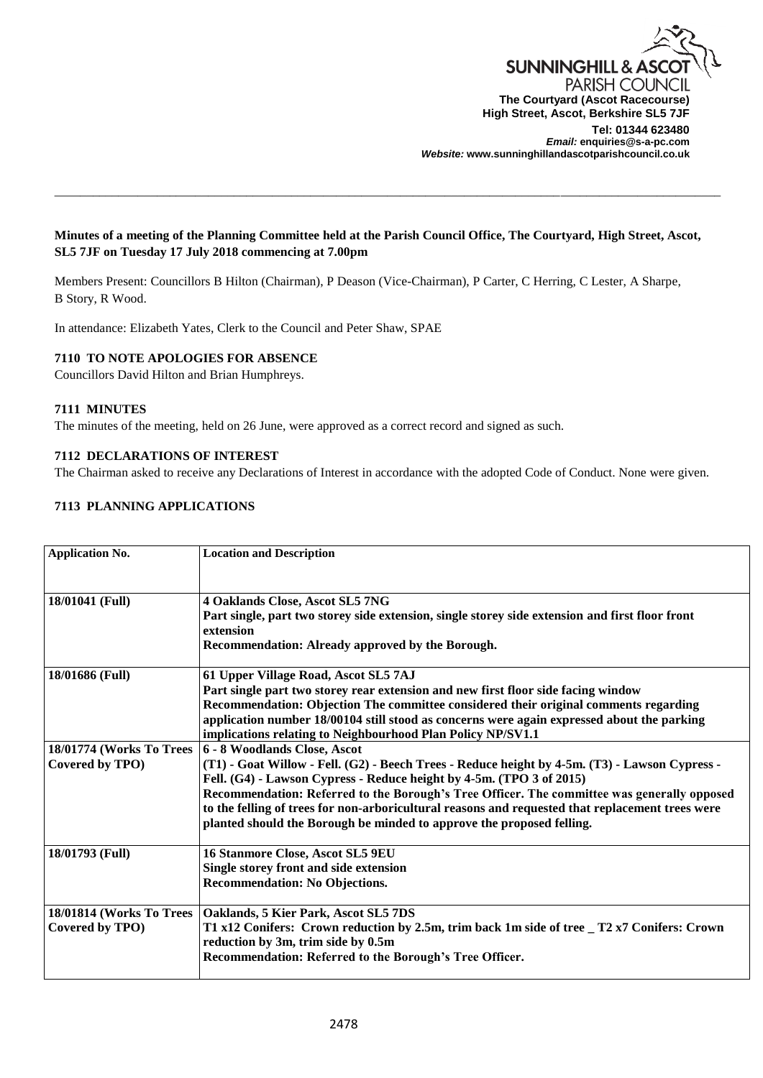

# **Minutes of a meeting of the Planning Committee held at the Parish Council Office, The Courtyard, High Street, Ascot, SL5 7JF on Tuesday 17 July 2018 commencing at 7.00pm**

\_\_\_\_\_\_\_\_\_\_\_\_\_\_\_\_\_\_\_\_\_\_\_\_\_\_\_\_\_\_\_\_\_\_\_\_\_\_\_\_\_\_\_\_\_\_\_\_\_\_\_\_\_\_\_\_\_\_\_\_\_\_\_\_\_\_\_\_\_\_\_\_\_\_\_\_\_\_\_\_\_\_\_\_\_\_\_\_\_\_\_\_\_\_\_\_\_\_\_\_\_\_\_\_

Members Present: Councillors B Hilton (Chairman), P Deason (Vice-Chairman), P Carter, C Herring, C Lester, A Sharpe, B Story, R Wood.

In attendance: Elizabeth Yates, Clerk to the Council and Peter Shaw, SPAE

# **7110 TO NOTE APOLOGIES FOR ABSENCE**

Councillors David Hilton and Brian Humphreys.

#### **7111 MINUTES**

The minutes of the meeting, held on 26 June, were approved as a correct record and signed as such.

### **7112 DECLARATIONS OF INTEREST**

The Chairman asked to receive any Declarations of Interest in accordance with the adopted Code of Conduct. None were given.

# **7113 PLANNING APPLICATIONS**

| <b>Application No.</b>                      | <b>Location and Description</b>                                                                                                                                                                                                                                                                                                                                                                                                                                                    |
|---------------------------------------------|------------------------------------------------------------------------------------------------------------------------------------------------------------------------------------------------------------------------------------------------------------------------------------------------------------------------------------------------------------------------------------------------------------------------------------------------------------------------------------|
| 18/01041 (Full)                             | 4 Oaklands Close, Ascot SL5 7NG<br>Part single, part two storey side extension, single storey side extension and first floor front<br>extension<br>Recommendation: Already approved by the Borough.                                                                                                                                                                                                                                                                                |
| 18/01686 (Full)                             | 61 Upper Village Road, Ascot SL5 7AJ<br>Part single part two storey rear extension and new first floor side facing window<br>Recommendation: Objection The committee considered their original comments regarding<br>application number 18/00104 still stood as concerns were again expressed about the parking<br>implications relating to Neighbourhood Plan Policy NP/SV1.1                                                                                                     |
| 18/01774 (Works To Trees<br>Covered by TPO) | 6 - 8 Woodlands Close, Ascot<br>(T1) - Goat Willow - Fell. (G2) - Beech Trees - Reduce height by 4-5m. (T3) - Lawson Cypress -<br>Fell. (G4) - Lawson Cypress - Reduce height by 4-5m. (TPO 3 of 2015)<br>Recommendation: Referred to the Borough's Tree Officer. The committee was generally opposed<br>to the felling of trees for non-arboricultural reasons and requested that replacement trees were<br>planted should the Borough be minded to approve the proposed felling. |
| 18/01793 (Full)                             | 16 Stanmore Close, Ascot SL5 9EU<br>Single storey front and side extension<br><b>Recommendation: No Objections.</b>                                                                                                                                                                                                                                                                                                                                                                |
| 18/01814 (Works To Trees<br>Covered by TPO) | Oaklands, 5 Kier Park, Ascot SL5 7DS<br>T1 x12 Conifers: Crown reduction by 2.5m, trim back 1m side of tree _ T2 x7 Conifers: Crown<br>reduction by 3m, trim side by 0.5m<br>Recommendation: Referred to the Borough's Tree Officer.                                                                                                                                                                                                                                               |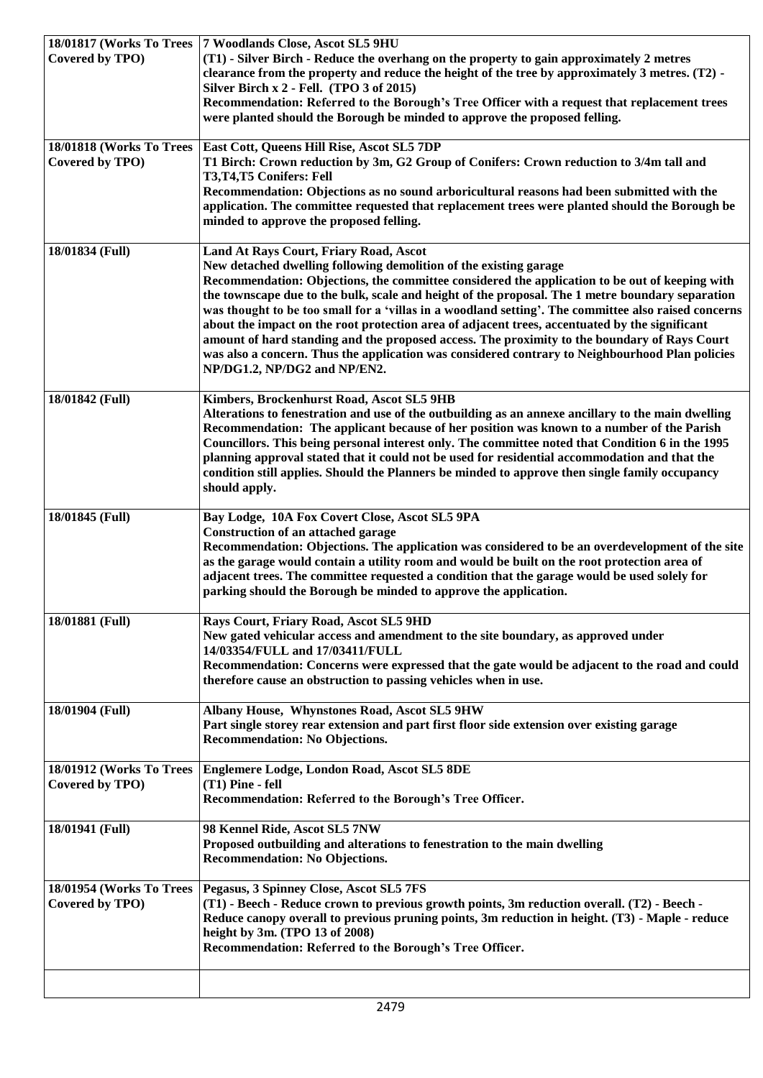| 18/01817 (Works To Trees<br>Covered by TPO) | 7 Woodlands Close, Ascot SL5 9HU<br>(T1) - Silver Birch - Reduce the overhang on the property to gain approximately 2 metres<br>clearance from the property and reduce the height of the tree by approximately 3 metres. (T2) -<br>Silver Birch x 2 - Fell. (TPO 3 of 2015)<br>Recommendation: Referred to the Borough's Tree Officer with a request that replacement trees<br>were planted should the Borough be minded to approve the proposed felling.                                                                                                                                                                                                                                                                                                      |
|---------------------------------------------|----------------------------------------------------------------------------------------------------------------------------------------------------------------------------------------------------------------------------------------------------------------------------------------------------------------------------------------------------------------------------------------------------------------------------------------------------------------------------------------------------------------------------------------------------------------------------------------------------------------------------------------------------------------------------------------------------------------------------------------------------------------|
| 18/01818 (Works To Trees<br>Covered by TPO) | East Cott, Queens Hill Rise, Ascot SL5 7DP<br>T1 Birch: Crown reduction by 3m, G2 Group of Conifers: Crown reduction to 3/4m tall and<br>T3,T4,T5 Conifers: Fell<br>Recommendation: Objections as no sound arboricultural reasons had been submitted with the<br>application. The committee requested that replacement trees were planted should the Borough be<br>minded to approve the proposed felling.                                                                                                                                                                                                                                                                                                                                                     |
| 18/01834 (Full)                             | Land At Rays Court, Friary Road, Ascot<br>New detached dwelling following demolition of the existing garage<br>Recommendation: Objections, the committee considered the application to be out of keeping with<br>the townscape due to the bulk, scale and height of the proposal. The 1 metre boundary separation<br>was thought to be too small for a 'villas in a woodland setting'. The committee also raised concerns<br>about the impact on the root protection area of adjacent trees, accentuated by the significant<br>amount of hard standing and the proposed access. The proximity to the boundary of Rays Court<br>was also a concern. Thus the application was considered contrary to Neighbourhood Plan policies<br>NP/DG1.2, NP/DG2 and NP/EN2. |
| 18/01842 (Full)                             | Kimbers, Brockenhurst Road, Ascot SL5 9HB<br>Alterations to fenestration and use of the outbuilding as an annexe ancillary to the main dwelling<br>Recommendation: The applicant because of her position was known to a number of the Parish<br>Councillors. This being personal interest only. The committee noted that Condition 6 in the 1995<br>planning approval stated that it could not be used for residential accommodation and that the<br>condition still applies. Should the Planners be minded to approve then single family occupancy<br>should apply.                                                                                                                                                                                           |
| 18/01845 (Full)                             | Bay Lodge, 10A Fox Covert Close, Ascot SL5 9PA<br><b>Construction of an attached garage</b><br>Recommendation: Objections. The application was considered to be an overdevelopment of the site<br>as the garage would contain a utility room and would be built on the root protection area of<br>adjacent trees. The committee requested a condition that the garage would be used solely for<br>parking should the Borough be minded to approve the application.                                                                                                                                                                                                                                                                                             |
| 18/01881 (Full)                             | Rays Court, Friary Road, Ascot SL5 9HD<br>New gated vehicular access and amendment to the site boundary, as approved under<br>14/03354/FULL and 17/03411/FULL<br>Recommendation: Concerns were expressed that the gate would be adjacent to the road and could<br>therefore cause an obstruction to passing vehicles when in use.                                                                                                                                                                                                                                                                                                                                                                                                                              |
| 18/01904 (Full)                             | Albany House, Whynstones Road, Ascot SL5 9HW<br>Part single storey rear extension and part first floor side extension over existing garage<br><b>Recommendation: No Objections.</b>                                                                                                                                                                                                                                                                                                                                                                                                                                                                                                                                                                            |
| 18/01912 (Works To Trees<br>Covered by TPO) | Englemere Lodge, London Road, Ascot SL5 8DE<br>(T1) Pine - fell<br>Recommendation: Referred to the Borough's Tree Officer.                                                                                                                                                                                                                                                                                                                                                                                                                                                                                                                                                                                                                                     |
| 18/01941 (Full)                             | 98 Kennel Ride, Ascot SL5 7NW<br>Proposed outbuilding and alterations to fenestration to the main dwelling<br><b>Recommendation: No Objections.</b>                                                                                                                                                                                                                                                                                                                                                                                                                                                                                                                                                                                                            |
| 18/01954 (Works To Trees<br>Covered by TPO) | Pegasus, 3 Spinney Close, Ascot SL5 7FS<br>(T1) - Beech - Reduce crown to previous growth points, 3m reduction overall. (T2) - Beech -<br>Reduce canopy overall to previous pruning points, 3m reduction in height. (T3) - Maple - reduce<br>height by 3m. (TPO 13 of 2008)<br>Recommendation: Referred to the Borough's Tree Officer.                                                                                                                                                                                                                                                                                                                                                                                                                         |
|                                             |                                                                                                                                                                                                                                                                                                                                                                                                                                                                                                                                                                                                                                                                                                                                                                |